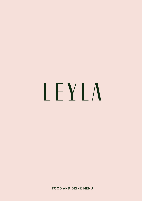# LEYLA

**FOOD AND DRINK MENU**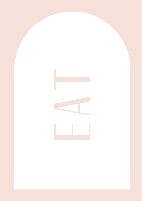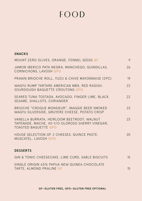## FOOD

#### **SNACKS**

| MOUNT ZERO OLIVES, ORANGE, FENNEL SEEDS GF                                                                                   | 9  |
|------------------------------------------------------------------------------------------------------------------------------|----|
| JAMON IBERICO PATA NEGRA, MANCHEGO, GUINDILLAS,<br><b>CORNICHONS, LAVOSH GFO</b>                                             | 26 |
| PRAWN BRIOCHE ROLL, YUZU & CHIVE MAYONNAISE (2PC)                                                                            | 19 |
| WAGYU RUMP TARTARE AMERICAN MB8, RED RADISH,<br>SOURDOUGH BAGUETTE CROUTONS GFO                                              | 22 |
| SEARED TUNA TOSTADA, AVOCADO, FINGER LIME, BLACK<br>SESAME, SHALLOTS, CORIANDER                                              | 22 |
| BRIOCHE "CROQUE MONSIEUR", MAGGIE BEER SMOKED<br>WAGYU SILVERSIDE, GRUYERE CHEESE, POTATO CRISP                              | 23 |
| VANELLA BURRATA, HEIRLOOM BEETROOT, WALNUT<br>TAPENADE, MACHE, 40 Y/O OLOROSO SHERRY VINEGAR,<br><b>TOASTED BAGUETTE GFO</b> | 23 |
| HOUSE SELECTION OF 2 CHEESES, QUINCE PASTE,<br>MUSCATEL, LAVOSH GFO                                                          | 20 |
| <b>DESSERTS</b>                                                                                                              |    |
| GIN & TONIC CHEESECAKE, LIME CURD, SABLE BISCUITS                                                                            | 15 |
| SINGLE ORIGIN 65% PAPUA NEW GUINEA CHOCOLATE                                                                                 |    |

TARTE, ALMOND PRALINE **GF** 15

**GF—GLUTEN FREE, GFO—GLUTEN FREE OPTIONAL**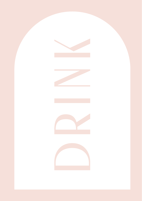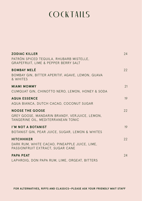### **COCKTAILS**

| <b>ZODIAC KILLER</b>                                                                | 24 |
|-------------------------------------------------------------------------------------|----|
| PATRÓN SPICED TEQUILA, RHUBARB MISTELLE,<br>GRAPEFRUIT, LIME & PEPPER BERRY SALT    |    |
| <b>BOMBAY MELÉ</b>                                                                  | 22 |
| BOMBAY GIN, BITTER APERITIF, AGAVE, LEMON, GUAVA<br>& WHITES                        |    |
| <b>MIAMI MOMMY</b>                                                                  | 21 |
| CUMQUAT GIN, CHINOTTO NERO, LEMON, HONEY & SODA                                     |    |
| <b>AQUA ESSENCE</b>                                                                 | 19 |
| AQUA BIANCA, DUTCH CACAO, COCONUT SUGAR                                             |    |
| <b>NOOSE THE GOOSE</b>                                                              | 22 |
| GREY GOOSE, MANDARIN BRANDY, VERJUICE, LEMON,<br>TANGERINE OIL, MEDITERRANEAN TONIC |    |
| I'M NOT A BOTANIST                                                                  | 19 |
| BOTANIST GIN, PEAR JUICE, SUGAR, LEMON & WHITES                                     |    |
| <b>HITCHHIKER</b>                                                                   | 22 |
| DARK RUM, WHITE CACAO, PINEAPPLE JUICE, LIME,                                       |    |
| PASSIONFRUIT EXTRACT, SUGAR CANE                                                    |    |
| <b>PAPA PEAT</b>                                                                    | 24 |
| LAPHROIG, DON PAPA RUM, LIME, ORGEAT, BITTERS                                       |    |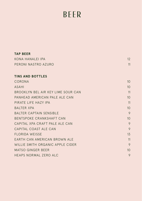# BEER

| <b>TAP BEER</b>                    |                 |
|------------------------------------|-----------------|
| KONA HANAI FI IPA                  | 12              |
| PERONI NASTRO AZURO                | 11              |
|                                    |                 |
| <b>TINS AND BOTTLES</b>            |                 |
| CORONA                             | 10 <sup>2</sup> |
| <b>ASAHI</b>                       | 10              |
| BROOKLYN BEL AIR KEY LIME SOUR CAN | 11              |
| PANHEAD AMERICAN PAIF AIF CAN      | 10 <sup>2</sup> |
| PIRATE LIFF HAZY IPA               | 11              |
| <b>BAITER XPA</b>                  | 10 <sup>°</sup> |
| BALTER CAPTAIN SENSIBLE            | 9               |
| BENTSPOKE CRANKSHAFT CAN           | 10              |
| CAPITAL XPA CRAFT PALF ALF CAN     | 9               |
| CAPITAL COAST ALE CAN              | 9               |
| FLORIDA WEISSE                     | 13              |
| EARTH CAN AMERICAN BROWN ALE       | 11              |
| WILLIF SMITH ORGANIC APPLE CIDER   | 9               |
| <b>MATSO GINGER BEER</b>           | 10              |
| <b>HEAPS NORMAL ZERO ALC</b>       | 9               |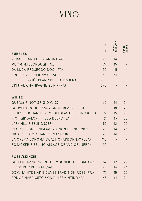# VINO

|                                              | <b>BOTTLE</b> | <b>GIANDARD</b> | LARGE<br>GLASS |
|----------------------------------------------|---------------|-----------------|----------------|
| <b>BUBBLES</b>                               |               |                 |                |
| ARRAS BLANC DE BLANCS (TAS)                  | 75            | 14              |                |
| MUMM MALBOROUGH (NZ)                         | 77            | 15              |                |
| DA LUCA PROSECCO DOC (ITA)                   | 60            | 11              |                |
| LOUIS ROEDERER NV (FRA)                      | 130           | 24              |                |
| PERRIER-JOUËT BLANC DE BLANCS (FRA)          | 285           |                 |                |
| CRISTAL CHAMPAGNE 2014 (FRA)                 | 690           |                 |                |
| <b>WHITE</b>                                 |               |                 |                |
| <b>QUEALY PINOT GRIGIO (VIC)</b>             | 62            | 14              | 24             |
| COUVENT ROUGE SAUVIGNON BLANC (LEB)          | 80            | 18              | 28             |
| SCHLOSS JOHANNISBERG GELBLACK RIESLING (GER) | 77            | 15              | 25             |
| RIOT GIRL-LO-FI FIELD BLEND (SA)             | 61            | 13              | 23             |
| LARK HILL RIESLING (CBR)                     | 57            | 12              | 22             |
| DIRTY BLACK DENIM SAUVIGNON BLANC (VIC)      | 70            | 14              | 25             |
| NICK O'LEARY CHARDONNAY (CBR)                | 70            | 14              | 25             |
| LA CREMA SONOMA COAST CHARDONNAY (USA)       | 110           |                 |                |
| ROSACKER RIESLING ALSACE GRAND CRU (FRA)     | 140           |                 |                |
| ROSÉ/SKINZIE                                 |               |                 |                |
| CULLEN 'DANCING IN THE MOONLIGHT' ROSÉ (WA)  | 57            | 12              | 22             |
| PIGGY POP PÉT NAT (SA)                       | 78            | 16              | 26             |
| DOM. SAINTE MARIE CUVÉE TRADITION ROSÉ (FRA) | 77            | 15              | 25             |
| SOMOS NARANJITO SKINSY VERMINTINO (SA)       | 65            | 14              | 24             |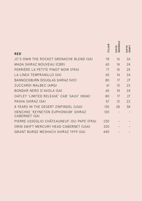|                                                      | BOTTLE | <b>STANDARD</b> | LARGE<br>GLASS |
|------------------------------------------------------|--------|-----------------|----------------|
| <b>RED</b>                                           |        |                 |                |
| JC'S OWN THE ROCKET GRENACHE BLEND (SA)              | 78     | 16              | 26             |
| MADA SHIRAZ NOUVEAU (CBR)                            | 65     | 14              | 24             |
| PERRIÈRE LA PETITE PINOT NOIR (FRA)                  | 77     | 15              | 25             |
| LA LINEA TEMPRANILLO (SA)                            | 65     | 14              | 24             |
| <b>BANNOCKBURN DOUGLAS SHIRAZ (VIC)</b>              | 80     | 17              | 27             |
| ZUCCARDI MALBEC (ARG)                                | 61     | 13              | 23             |
| BONDAR NERO D'AVOLA (SA)                             | 65     | 14              | 24             |
| OATLEY 'LIMITED RELEASE' CAB' SAUV' (NSW)            | 80     | 17              | 27             |
| PASHA SHIRAZ (SA)                                    | 57     | 12              | 22             |
| 8 YEARS IN THE DESERT ZINFINDEL (USA)                | 135    | 28              | 38             |
| HENCHKE 'KEYNETON EUPHONIUM' SHIRAZ<br>CABERNET (SA) | 120    |                 |                |
| PIERRE USSEGLIO CHÂTEAUNEUF-DU-PAPE (FRA)            | 230    |                 |                |
| ORIN SWIFT MERCURY HEAD CABERNET (USA)               | 320    |                 |                |
| <b>GRANT BURGE MESHACH SHIRAZ 1999 (SA)</b>          | 440    |                 |                |